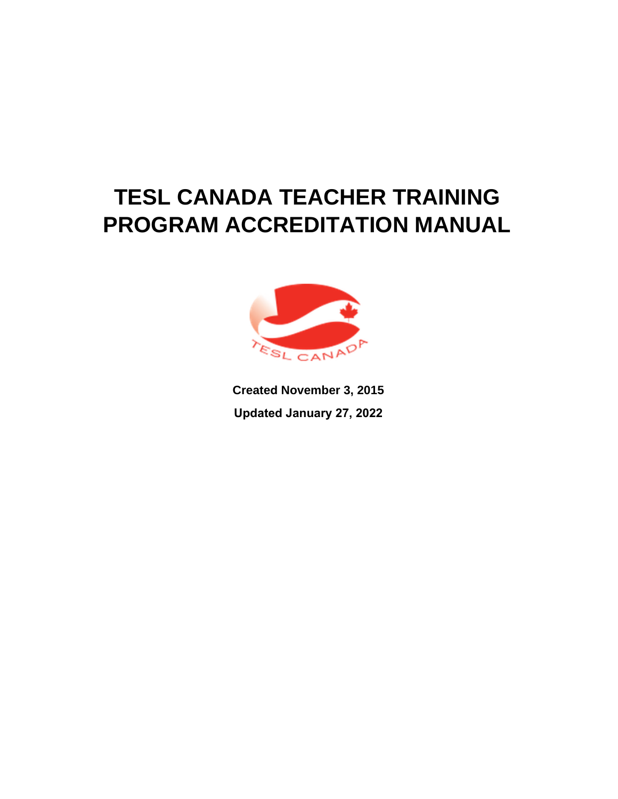# **TESL CANADA TEACHER TRAINING PROGRAM ACCREDITATION MANUAL**



**Created November 3, 2015 Updated January 27, 2022**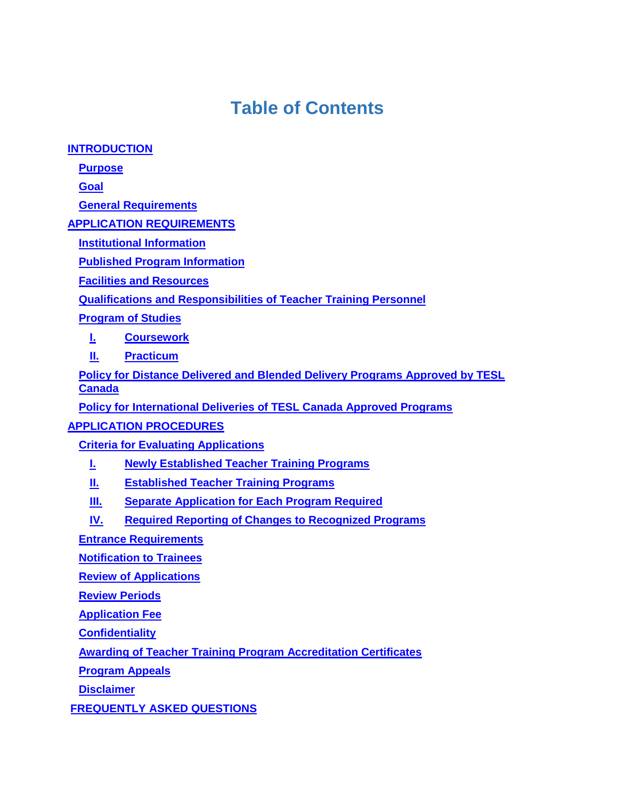## **Table of Contents**

**[INTRODUCTION](#page-2-0)**

**[Purpose](#page-2-1)**

**[Goal](#page-2-2)**

**[General Requirements](#page-2-3)**

**[APPLICATION REQUIREMENTS](#page-3-0)**

**[Institutional Information](#page-3-1)**

**[Published Program Information](#page-3-2)**

**[Facilities and Resources](#page-4-0)**

**[Qualifications and Responsibilities of Teacher Training Personnel](#page-4-1)**

**[Program of Studies](#page-5-0)**

**[I.](#page-5-1) [Coursework](#page-5-1)**

**[II.](#page-6-0) [Practicum](#page-6-0)**

**[Policy for Distance Delivered and Blended Delivery Programs Approved by TESL](#page-7-0)  [Canada](#page-7-0)**

**[Policy for International Deliveries of TESL Canada Approved Programs](#page-8-0)**

## **[APPLICATION PROCEDURES](#page-8-1)**

**[Criteria for Evaluating Applications](#page-8-2)**

- **[I.](#page-8-3) [Newly Established Teacher Training Programs](#page-8-3)**
- **[II.](#page-9-0) [Established Teacher Training Programs](#page-9-0)**

**[III.](#page-9-1) [Separate Application for Each Program Required](#page-9-1)**

**[IV.](#page-9-2) [Required Reporting of Changes to Recognized Programs](#page-9-2)**

**[Entrance Requirements](#page-9-3)**

**[Notification to Trainees](#page-10-0)**

**[Review of Applications](#page-10-1)**

**[Review Periods](#page-10-2)**

**[Application Fee](#page-11-0)**

**[Confidentiality](#page-11-1)**

**[Awarding of Teacher Training Program Accreditation](#page-11-2) Certificate[s](#page-11-2)**

**[Program Appeals](#page-11-3)**

**[Disclaimer](#page-11-4)**

**FREQUENTLY ASKED QUESTIONS**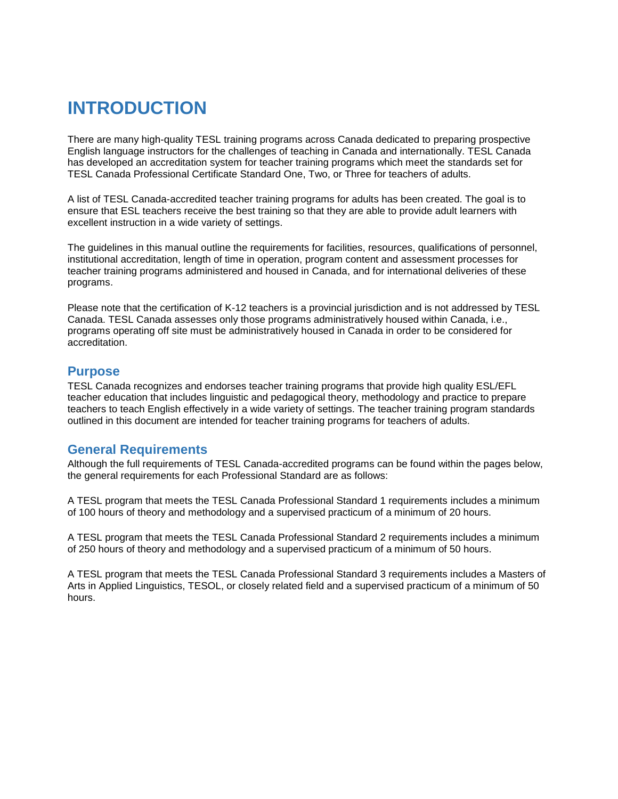## <span id="page-2-0"></span>**INTRODUCTION**

There are many high-quality TESL training programs across Canada dedicated to preparing prospective English language instructors for the challenges of teaching in Canada and internationally. TESL Canada has developed an accreditation system for teacher training programs which meet the standards set for TESL Canada Professional Certificate Standard One, Two, or Three for teachers of adults.

A list of TESL Canada-accredited teacher training programs for adults has been created. The goal is to ensure that ESL teachers receive the best training so that they are able to provide adult learners with excellent instruction in a wide variety of settings.

The guidelines in this manual outline the requirements for facilities, resources, qualifications of personnel, institutional accreditation, length of time in operation, program content and assessment processes for teacher training programs administered and housed in Canada, and for international deliveries of these programs.

Please note that the certification of K-12 teachers is a provincial jurisdiction and is not addressed by TESL Canada. TESL Canada assesses only those programs administratively housed within Canada, i.e., programs operating off site must be administratively housed in Canada in order to be considered for accreditation.

### <span id="page-2-1"></span>**Purpose**

TESL Canada recognizes and endorses teacher training programs that provide high quality ESL/EFL teacher education that includes linguistic and pedagogical theory, methodology and practice to prepare teachers to teach English effectively in a wide variety of settings. The teacher training program standards outlined in this document are intended for teacher training programs for teachers of adults.

### <span id="page-2-3"></span><span id="page-2-2"></span>**General Requirements**

Although the full requirements of TESL Canada-accredited programs can be found within the pages below, the general requirements for each Professional Standard are as follows:

A TESL program that meets the TESL Canada Professional Standard 1 requirements includes a minimum of 100 hours of theory and methodology and a supervised practicum of a minimum of 20 hours.

A TESL program that meets the TESL Canada Professional Standard 2 requirements includes a minimum of 250 hours of theory and methodology and a supervised practicum of a minimum of 50 hours.

A TESL program that meets the TESL Canada Professional Standard 3 requirements includes a Masters of Arts in Applied Linguistics, TESOL, or closely related field and a supervised practicum of a minimum of 50 hours.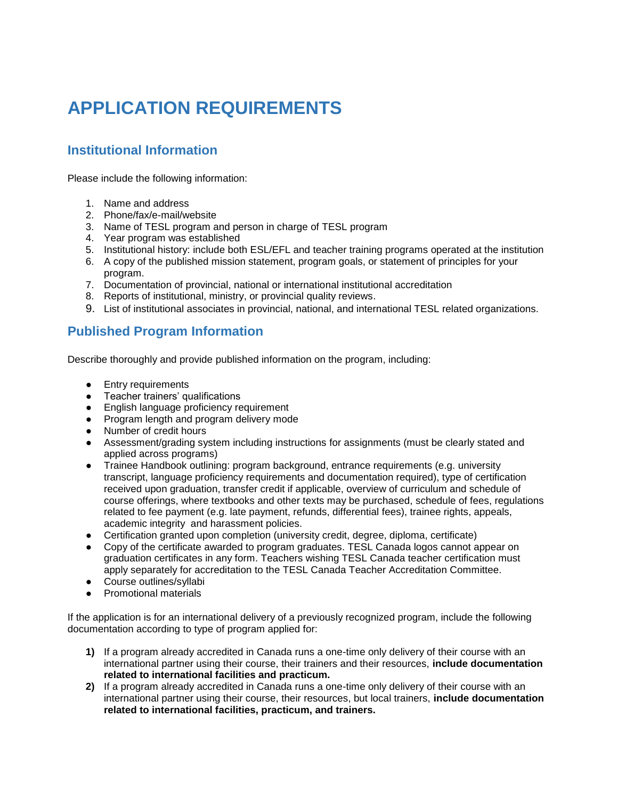# <span id="page-3-0"></span>**APPLICATION REQUIREMENTS**

## <span id="page-3-1"></span>**Institutional Information**

Please include the following information:

- 1. Name and address
- 2. Phone/fax/e-mail/website
- 3. Name of TESL program and person in charge of TESL program
- 4. Year program was established
- 5. Institutional history: include both ESL/EFL and teacher training programs operated at the institution
- 6. A copy of the published mission statement, program goals, or statement of principles for your program.
- 7. Documentation of provincial, national or international institutional accreditation
- 8. Reports of institutional, ministry, or provincial quality reviews.
- 9. List of institutional associates in provincial, national, and international TESL related organizations.

## <span id="page-3-2"></span>**Published Program Information**

Describe thoroughly and provide published information on the program, including:

- Entry requirements
- Teacher trainers' qualifications
- English language proficiency requirement
- Program length and program delivery mode
- Number of credit hours
- Assessment/grading system including instructions for assignments (must be clearly stated and applied across programs)
- Trainee Handbook outlining: program background, entrance requirements (e.g. university transcript, language proficiency requirements and documentation required), type of certification received upon graduation, transfer credit if applicable, overview of curriculum and schedule of course offerings, where textbooks and other texts may be purchased, schedule of fees, regulations related to fee payment (e.g. late payment, refunds, differential fees), trainee rights, appeals, academic integrity and harassment policies.
- Certification granted upon completion (university credit, degree, diploma, certificate)
- Copy of the certificate awarded to program graduates. TESL Canada logos cannot appear on graduation certificates in any form. Teachers wishing TESL Canada teacher certification must apply separately for accreditation to the TESL Canada Teacher Accreditation Committee.
- Course outlines/syllabi
- **Promotional materials**

If the application is for an international delivery of a previously recognized program, include the following documentation according to type of program applied for:

- **1)** If a program already accredited in Canada runs a one-time only delivery of their course with an international partner using their course, their trainers and their resources, **include documentation related to international facilities and practicum.**
- **2)** If a program already accredited in Canada runs a one-time only delivery of their course with an international partner using their course, their resources, but local trainers, **include documentation related to international facilities, practicum, and trainers.**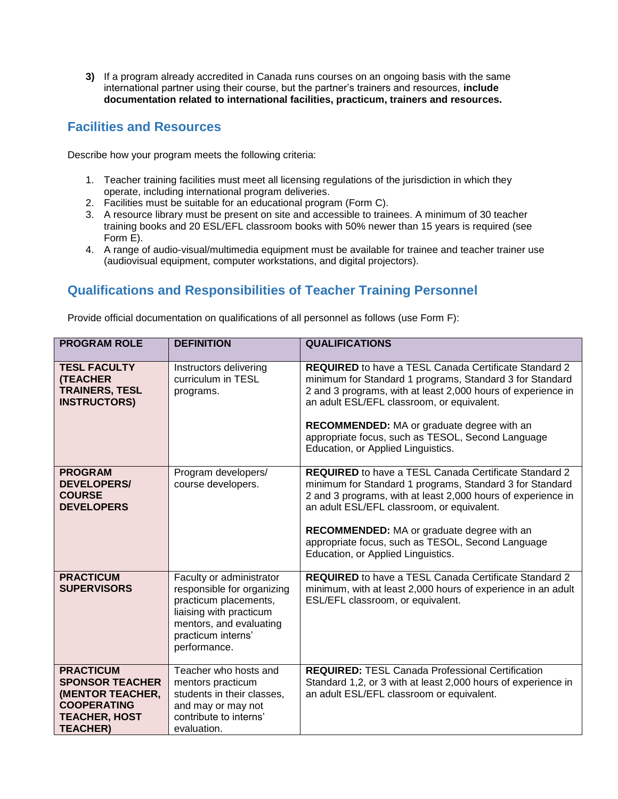**3)** If a program already accredited in Canada runs courses on an ongoing basis with the same international partner using their course, but the partner's trainers and resources, **include documentation related to international facilities, practicum, trainers and resources.**

## <span id="page-4-0"></span>**Facilities and Resources**

Describe how your program meets the following criteria:

- 1. Teacher training facilities must meet all licensing regulations of the jurisdiction in which they operate, including international program deliveries.
- 2. Facilities must be suitable for an educational program (Form C).
- 3. A resource library must be present on site and accessible to trainees. A minimum of 30 teacher training books and 20 ESL/EFL classroom books with 50% newer than 15 years is required (see Form E).
- 4. A range of audio-visual/multimedia equipment must be available for trainee and teacher trainer use (audiovisual equipment, computer workstations, and digital projectors).

## <span id="page-4-1"></span>**Qualifications and Responsibilities of Teacher Training Personnel**

Provide official documentation on qualifications of all personnel as follows (use Form F):

| <b>PROGRAM ROLE</b>                                                                                                             | <b>DEFINITION</b>                                                                                                                                                           | <b>QUALIFICATIONS</b>                                                                                                                                                                                                                                                                                                                                                                  |
|---------------------------------------------------------------------------------------------------------------------------------|-----------------------------------------------------------------------------------------------------------------------------------------------------------------------------|----------------------------------------------------------------------------------------------------------------------------------------------------------------------------------------------------------------------------------------------------------------------------------------------------------------------------------------------------------------------------------------|
| <b>TESL FACULTY</b><br><b>(TEACHER</b><br><b>TRAINERS, TESL</b><br><b>INSTRUCTORS)</b>                                          | Instructors delivering<br>curriculum in TESL<br>programs.                                                                                                                   | <b>REQUIRED</b> to have a TESL Canada Certificate Standard 2<br>minimum for Standard 1 programs, Standard 3 for Standard<br>2 and 3 programs, with at least 2,000 hours of experience in<br>an adult ESL/EFL classroom, or equivalent.<br><b>RECOMMENDED:</b> MA or graduate degree with an<br>appropriate focus, such as TESOL, Second Language<br>Education, or Applied Linguistics. |
| <b>PROGRAM</b><br><b>DEVELOPERS/</b><br><b>COURSE</b><br><b>DEVELOPERS</b>                                                      | Program developers/<br>course developers.                                                                                                                                   | <b>REQUIRED</b> to have a TESL Canada Certificate Standard 2<br>minimum for Standard 1 programs, Standard 3 for Standard<br>2 and 3 programs, with at least 2,000 hours of experience in<br>an adult ESL/EFL classroom, or equivalent.<br><b>RECOMMENDED:</b> MA or graduate degree with an<br>appropriate focus, such as TESOL, Second Language<br>Education, or Applied Linguistics. |
| <b>PRACTICUM</b><br><b>SUPERVISORS</b>                                                                                          | Faculty or administrator<br>responsible for organizing<br>practicum placements,<br>liaising with practicum<br>mentors, and evaluating<br>practicum interns'<br>performance. | <b>REQUIRED</b> to have a TESL Canada Certificate Standard 2<br>minimum, with at least 2,000 hours of experience in an adult<br>ESL/EFL classroom, or equivalent.                                                                                                                                                                                                                      |
| <b>PRACTICUM</b><br><b>SPONSOR TEACHER</b><br>(MENTOR TEACHER,<br><b>COOPERATING</b><br><b>TEACHER, HOST</b><br><b>TEACHER)</b> | Teacher who hosts and<br>mentors practicum<br>students in their classes,<br>and may or may not<br>contribute to interns'<br>evaluation.                                     | <b>REQUIRED: TESL Canada Professional Certification</b><br>Standard 1,2, or 3 with at least 2,000 hours of experience in<br>an adult ESL/EFL classroom or equivalent.                                                                                                                                                                                                                  |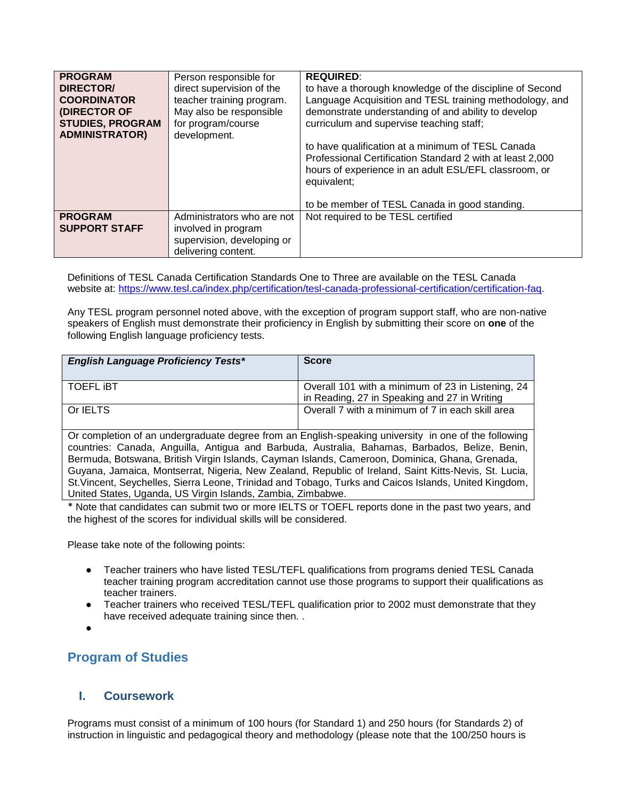| <b>PROGRAM</b><br><b>DIRECTOR/</b><br><b>COORDINATOR</b><br>(DIRECTOR OF<br><b>STUDIES, PROGRAM</b><br><b>ADMINISTRATOR)</b> | Person responsible for<br>direct supervision of the<br>teacher training program.<br>May also be responsible<br>for program/course<br>development. | <b>REQUIRED:</b><br>to have a thorough knowledge of the discipline of Second<br>Language Acquisition and TESL training methodology, and<br>demonstrate understanding of and ability to develop<br>curriculum and supervise teaching staff;<br>to have qualification at a minimum of TESL Canada<br>Professional Certification Standard 2 with at least 2,000<br>hours of experience in an adult ESL/EFL classroom, or<br>equivalent; |
|------------------------------------------------------------------------------------------------------------------------------|---------------------------------------------------------------------------------------------------------------------------------------------------|--------------------------------------------------------------------------------------------------------------------------------------------------------------------------------------------------------------------------------------------------------------------------------------------------------------------------------------------------------------------------------------------------------------------------------------|
|                                                                                                                              |                                                                                                                                                   | to be member of TESL Canada in good standing.                                                                                                                                                                                                                                                                                                                                                                                        |
| <b>PROGRAM</b><br><b>SUPPORT STAFF</b>                                                                                       | Administrators who are not<br>involved in program<br>supervision, developing or<br>delivering content.                                            | Not required to be TESL certified                                                                                                                                                                                                                                                                                                                                                                                                    |

Definitions of TESL Canada Certification Standards One to Three are available on the TESL Canada website at: [https://www.tesl.ca/index.php/certification/tesl-canada-professional-certification/certification-faq.](https://www.tesl.ca/index.php/certification/tesl-canada-professional-certification/certification-faq)

Any TESL program personnel noted above, with the exception of program support staff, who are non-native speakers of English must demonstrate their proficiency in English by submitting their score on **one** of the following English language proficiency tests.

| <b>English Language Proficiency Tests*</b> | <b>Score</b>                                                                                      |
|--------------------------------------------|---------------------------------------------------------------------------------------------------|
| <b>TOEFL IBT</b>                           | Overall 101 with a minimum of 23 in Listening, 24<br>in Reading, 27 in Speaking and 27 in Writing |
| Or <b>IELTS</b>                            | Overall 7 with a minimum of 7 in each skill area                                                  |

Or completion of an undergraduate degree from an English-speaking university in one of the following countries: Canada, Anguilla, Antigua and Barbuda, Australia, Bahamas, Barbados, Belize, Benin, Bermuda, Botswana, British Virgin Islands, Cayman Islands, Cameroon, Dominica, Ghana, Grenada, Guyana, Jamaica, Montserrat, Nigeria, New Zealand, Republic of Ireland, Saint Kitts-Nevis, St. Lucia, St.Vincent, Seychelles, Sierra Leone, Trinidad and Tobago, Turks and Caicos Islands, United Kingdom, United States, Uganda, US Virgin Islands, Zambia, Zimbabwe.

\* Note that candidates can submit two or more IELTS or TOEFL reports done in the past two years, and the highest of the scores for individual skills will be considered.

Please take note of the following points:

- Teacher trainers who have listed TESL/TEFL qualifications from programs denied TESL Canada teacher training program accreditation cannot use those programs to support their qualifications as teacher trainers.
- Teacher trainers who received TESL/TEFL qualification prior to 2002 must demonstrate that they have received adequate training since then. .
- ●

## <span id="page-5-0"></span>**Program of Studies**

### <span id="page-5-1"></span>**I. Coursework**

Programs must consist of a minimum of 100 hours (for Standard 1) and 250 hours (for Standards 2) of instruction in linguistic and pedagogical theory and methodology (please note that the 100/250 hours is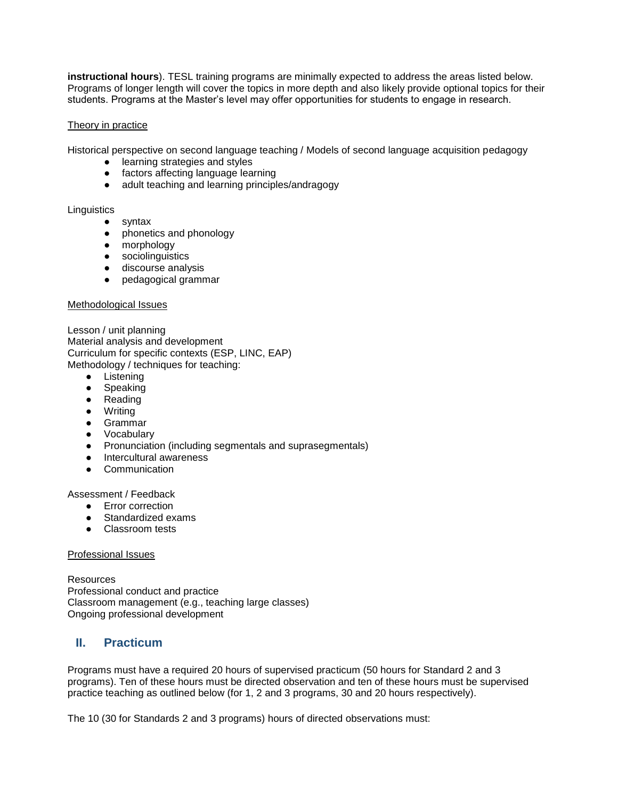**instructional hours**). TESL training programs are minimally expected to address the areas listed below. Programs of longer length will cover the topics in more depth and also likely provide optional topics for their students. Programs at the Master's level may offer opportunities for students to engage in research.

### Theory in practice

Historical perspective on second language teaching / Models of second language acquisition pedagogy

- learning strategies and styles
- factors affecting language learning
- adult teaching and learning principles/andragogy

### **Linguistics**

- syntax
- phonetics and phonology
- morphology
- sociolinguistics
- discourse analysis
- pedagogical grammar

### Methodological Issues

Lesson / unit planning Material analysis and development Curriculum for specific contexts (ESP, LINC, EAP) Methodology / techniques for teaching:

- Listening
- Speaking
- Reading
- Writing
- Grammar
- Vocabulary
- Pronunciation (including segmentals and suprasegmentals)
- Intercultural awareness
- Communication

### Assessment / Feedback

- Error correction
- Standardized exams
- Classroom tests

### Professional Issues

Resources Professional conduct and practice Classroom management (e.g., teaching large classes) Ongoing professional development

### <span id="page-6-0"></span>**II. Practicum**

Programs must have a required 20 hours of supervised practicum (50 hours for Standard 2 and 3 programs). Ten of these hours must be directed observation and ten of these hours must be supervised practice teaching as outlined below (for 1, 2 and 3 programs, 30 and 20 hours respectively).

The 10 (30 for Standards 2 and 3 programs) hours of directed observations must: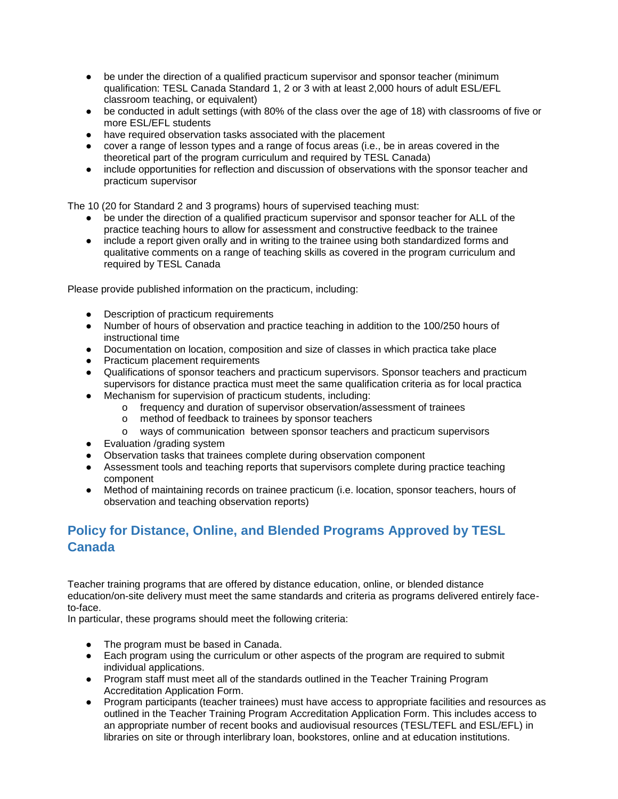- be under the direction of a qualified practicum supervisor and sponsor teacher (minimum qualification: TESL Canada Standard 1, 2 or 3 with at least 2,000 hours of adult ESL/EFL classroom teaching, or equivalent)
- be conducted in adult settings (with 80% of the class over the age of 18) with classrooms of five or more ESL/EFL students
- have required observation tasks associated with the placement
- cover a range of lesson types and a range of focus areas (i.e., be in areas covered in the theoretical part of the program curriculum and required by TESL Canada)
- include opportunities for reflection and discussion of observations with the sponsor teacher and practicum supervisor

The 10 (20 for Standard 2 and 3 programs) hours of supervised teaching must:

- be under the direction of a qualified practicum supervisor and sponsor teacher for ALL of the practice teaching hours to allow for assessment and constructive feedback to the trainee
- include a report given orally and in writing to the trainee using both standardized forms and qualitative comments on a range of teaching skills as covered in the program curriculum and required by TESL Canada

Please provide published information on the practicum, including:

- Description of practicum requirements
- Number of hours of observation and practice teaching in addition to the 100/250 hours of instructional time
- Documentation on location, composition and size of classes in which practica take place
- Practicum placement requirements
- Qualifications of sponsor teachers and practicum supervisors. Sponsor teachers and practicum supervisors for distance practica must meet the same qualification criteria as for local practica
- Mechanism for supervision of practicum students, including:
	- o frequency and duration of supervisor observation/assessment of trainees
	- o method of feedback to trainees by sponsor teachers
	- o ways of communication between sponsor teachers and practicum supervisors
- Evaluation /grading system
- Observation tasks that trainees complete during observation component
- Assessment tools and teaching reports that supervisors complete during practice teaching component
- Method of maintaining records on trainee practicum (i.e. location, sponsor teachers, hours of observation and teaching observation reports)

## <span id="page-7-0"></span>**Policy for Distance, Online, and Blended Programs Approved by TESL Canada**

Teacher training programs that are offered by distance education, online, or blended distance education/on-site delivery must meet the same standards and criteria as programs delivered entirely faceto-face.

In particular, these programs should meet the following criteria:

- The program must be based in Canada.
- Each program using the curriculum or other aspects of the program are required to submit individual applications.
- Program staff must meet all of the standards outlined in the Teacher Training Program Accreditation Application Form.
- Program participants (teacher trainees) must have access to appropriate facilities and resources as outlined in the Teacher Training Program Accreditation Application Form. This includes access to an appropriate number of recent books and audiovisual resources (TESL/TEFL and ESL/EFL) in libraries on site or through interlibrary loan, bookstores, online and at education institutions.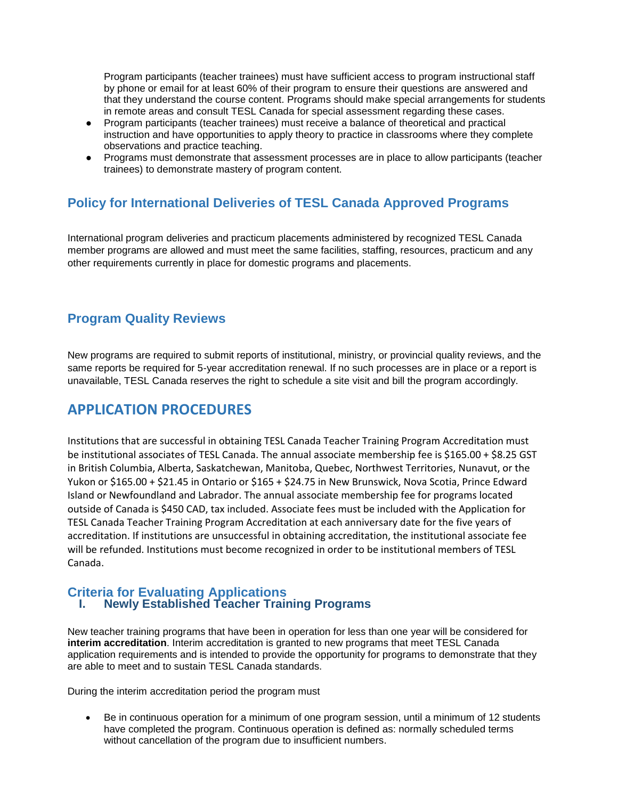Program participants (teacher trainees) must have sufficient access to program instructional staff by phone or email for at least 60% of their program to ensure their questions are answered and that they understand the course content. Programs should make special arrangements for students in remote areas and consult TESL Canada for special assessment regarding these cases.

- Program participants (teacher trainees) must receive a balance of theoretical and practical instruction and have opportunities to apply theory to practice in classrooms where they complete observations and practice teaching.
- Programs must demonstrate that assessment processes are in place to allow participants (teacher trainees) to demonstrate mastery of program content.

## <span id="page-8-0"></span>**Policy for International Deliveries of TESL Canada Approved Programs**

International program deliveries and practicum placements administered by recognized TESL Canada member programs are allowed and must meet the same facilities, staffing, resources, practicum and any other requirements currently in place for domestic programs and placements.

## **Program Quality Reviews**

New programs are required to submit reports of institutional, ministry, or provincial quality reviews, and the same reports be required for 5-year accreditation renewal. If no such processes are in place or a report is unavailable, TESL Canada reserves the right to schedule a site visit and bill the program accordingly.

## <span id="page-8-1"></span>**APPLICATION PROCEDURES**

Institutions that are successful in obtaining TESL Canada Teacher Training Program Accreditation must be institutional associates of TESL Canada. The annual associate membership fee is \$165.00 + \$8.25 GST in British Columbia, Alberta, Saskatchewan, Manitoba, Quebec, Northwest Territories, Nunavut, or the Yukon or \$165.00 + \$21.45 in Ontario or \$165 + \$24.75 in New Brunswick, Nova Scotia, Prince Edward Island or Newfoundland and Labrador. The annual associate membership fee for programs located outside of Canada is \$450 CAD, tax included. Associate fees must be included with the Application for TESL Canada Teacher Training Program Accreditation at each anniversary date for the five years of accreditation. If institutions are unsuccessful in obtaining accreditation, the institutional associate fee will be refunded. Institutions must become recognized in order to be institutional members of TESL Canada.

### <span id="page-8-3"></span><span id="page-8-2"></span>**Criteria for Evaluating Applications I. Newly Established Teacher Training Programs**

New teacher training programs that have been in operation for less than one year will be considered for **interim accreditation**. Interim accreditation is granted to new programs that meet TESL Canada application requirements and is intended to provide the opportunity for programs to demonstrate that they are able to meet and to sustain TESL Canada standards.

During the interim accreditation period the program must

 Be in continuous operation for a minimum of one program session, until a minimum of 12 students have completed the program. Continuous operation is defined as: normally scheduled terms without cancellation of the program due to insufficient numbers.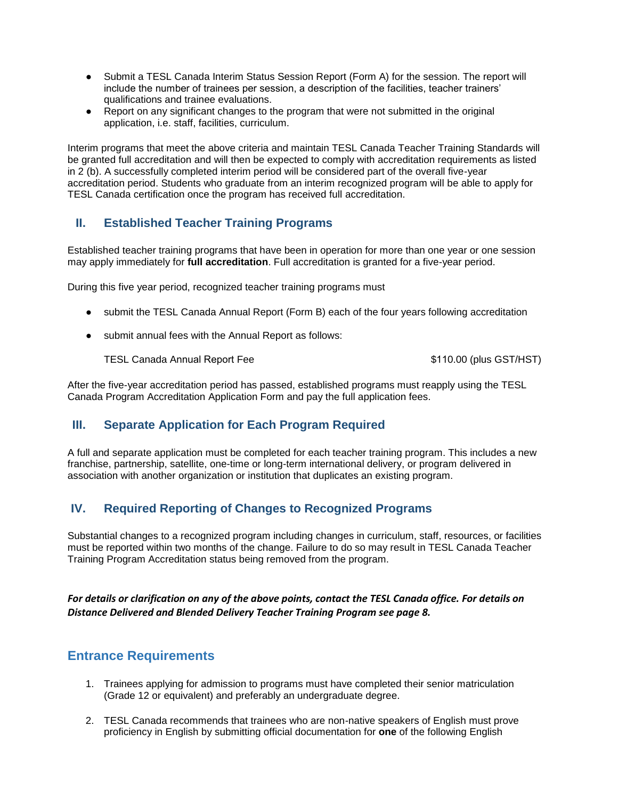- Submit a TESL Canada Interim Status Session Report (Form A) for the session. The report will include the number of trainees per session, a description of the facilities, teacher trainers' qualifications and trainee evaluations.
- Report on any significant changes to the program that were not submitted in the original application, i.e. staff, facilities, curriculum.

Interim programs that meet the above criteria and maintain TESL Canada Teacher Training Standards will be granted full accreditation and will then be expected to comply with accreditation requirements as listed in 2 (b). A successfully completed interim period will be considered part of the overall five-year accreditation period. Students who graduate from an interim recognized program will be able to apply for TESL Canada certification once the program has received full accreditation.

## <span id="page-9-0"></span>**II. Established Teacher Training Programs**

Established teacher training programs that have been in operation for more than one year or one session may apply immediately for **full accreditation**. Full accreditation is granted for a five-year period.

During this five year period, recognized teacher training programs must

- submit the TESL Canada Annual Report (Form B) each of the four years following accreditation
- submit annual fees with the Annual Report as follows:

TESL Canada Annual Report Fee  $$110.00$  (plus GST/HST)

After the five-year accreditation period has passed, established programs must reapply using the TESL Canada Program Accreditation Application Form and pay the full application fees.

## <span id="page-9-1"></span>**III. Separate Application for Each Program Required**

A full and separate application must be completed for each teacher training program. This includes a new franchise, partnership, satellite, one-time or long-term international delivery, or program delivered in association with another organization or institution that duplicates an existing program.

## <span id="page-9-2"></span>**IV. Required Reporting of Changes to Recognized Programs**

Substantial changes to a recognized program including changes in curriculum, staff, resources, or facilities must be reported within two months of the change. Failure to do so may result in TESL Canada Teacher Training Program Accreditation status being removed from the program.

*For details or clarification on any of the above points, contact the TESL Canada office. For details on Distance Delivered and Blended Delivery Teacher Training Program see page 8.*

## <span id="page-9-3"></span>**Entrance Requirements**

- 1. Trainees applying for admission to programs must have completed their senior matriculation (Grade 12 or equivalent) and preferably an undergraduate degree.
- 2. TESL Canada recommends that trainees who are non-native speakers of English must prove proficiency in English by submitting official documentation for **one** of the following English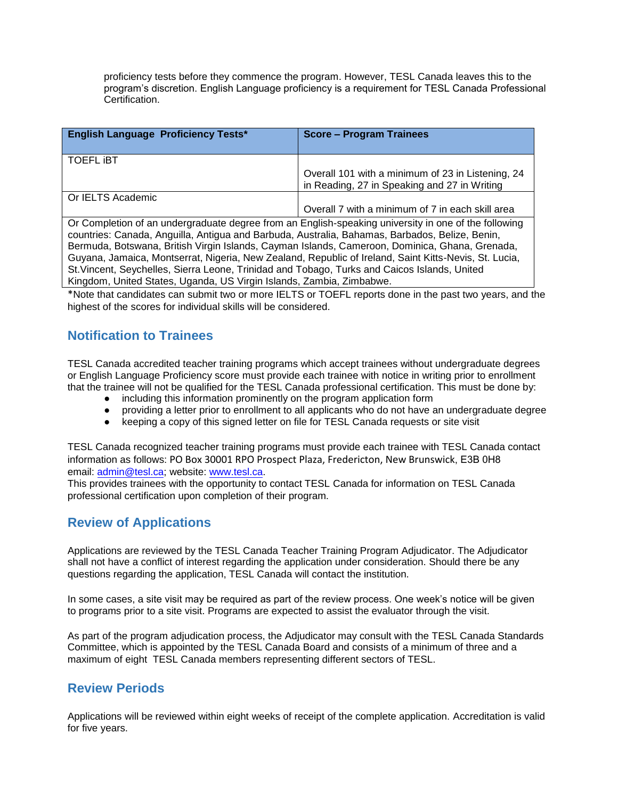proficiency tests before they commence the program. However, TESL Canada leaves this to the program's discretion. English Language proficiency is a requirement for TESL Canada Professional Certification.

| <b>English Language Proficiency Tests*</b> | <b>Score - Program Trainees</b>                                                                   |
|--------------------------------------------|---------------------------------------------------------------------------------------------------|
| <b>TOEFL IBT</b>                           | Overall 101 with a minimum of 23 in Listening, 24<br>in Reading, 27 in Speaking and 27 in Writing |
| Or IELTS Academic                          | Overall 7 with a minimum of 7 in each skill area                                                  |

Or Completion of an undergraduate degree from an English-speaking university in one of the following countries: Canada, Anguilla, Antigua and Barbuda, Australia, Bahamas, Barbados, Belize, Benin, Bermuda, Botswana, British Virgin Islands, Cayman Islands, Cameroon, Dominica, Ghana, Grenada, Guyana, Jamaica, Montserrat, Nigeria, New Zealand, Republic of Ireland, Saint Kitts-Nevis, St. Lucia, St.Vincent, Seychelles, Sierra Leone, Trinidad and Tobago, Turks and Caicos Islands, United Kingdom, United States, Uganda, US Virgin Islands, Zambia, Zimbabwe.

\*Note that candidates can submit two or more IELTS or TOEFL reports done in the past two years, and the highest of the scores for individual skills will be considered.

## <span id="page-10-0"></span>**Notification to Trainees**

TESL Canada accredited teacher training programs which accept trainees without undergraduate degrees or English Language Proficiency score must provide each trainee with notice in writing prior to enrollment that the trainee will not be qualified for the TESL Canada professional certification. This must be done by:

- including this information prominently on the program application form
- providing a letter prior to enrollment to all applicants who do not have an undergraduate degree
- keeping a copy of this signed letter on file for TESL Canada requests or site visit

TESL Canada recognized teacher training programs must provide each trainee with TESL Canada contact information as follows: PO Box 30001 RPO Prospect Plaza, Fredericton, New Brunswick, E3B 0H8 email: [admin@tesl.ca;](mailto:admin@tesl.ca) website: [www.tesl.ca.](http://www.tesl.ca/)

This provides trainees with the opportunity to contact TESL Canada for information on TESL Canada professional certification upon completion of their program.

## <span id="page-10-1"></span>**Review of Applications**

Applications are reviewed by the TESL Canada Teacher Training Program Adjudicator. The Adjudicator shall not have a conflict of interest regarding the application under consideration. Should there be any questions regarding the application, TESL Canada will contact the institution.

In some cases, a site visit may be required as part of the review process. One week's notice will be given to programs prior to a site visit. Programs are expected to assist the evaluator through the visit.

As part of the program adjudication process, the Adjudicator may consult with the TESL Canada Standards Committee, which is appointed by the TESL Canada Board and consists of a minimum of three and a maximum of eight TESL Canada members representing different sectors of TESL.

## <span id="page-10-2"></span>**Review Periods**

Applications will be reviewed within eight weeks of receipt of the complete application. Accreditation is valid for five years.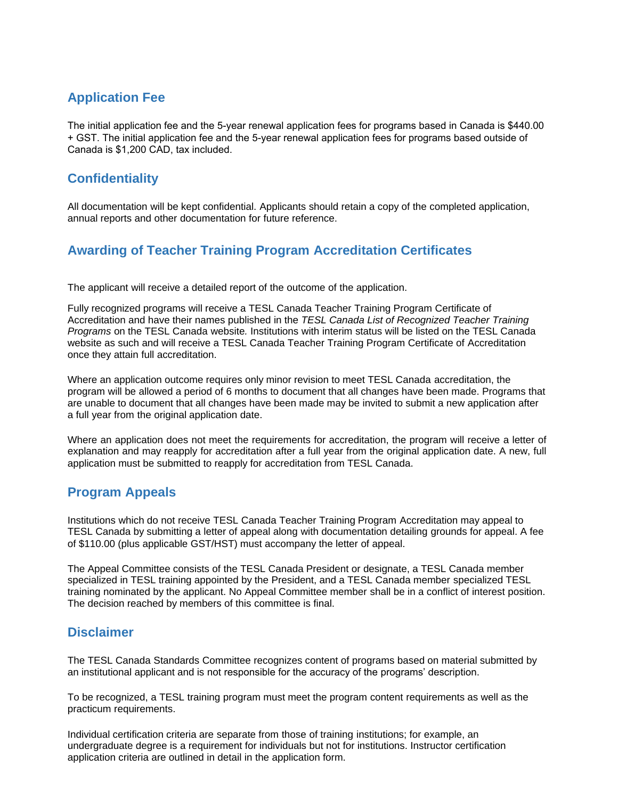## <span id="page-11-0"></span>**Application Fee**

<span id="page-11-1"></span>The initial application fee and the 5-year renewal application fees for programs based in Canada is \$440.00 + GST. The initial application fee and the 5-year renewal application fees for programs based outside of Canada is \$1,200 CAD, tax included.

## **Confidentiality**

<span id="page-11-2"></span>All documentation will be kept confidential. Applicants should retain a copy of the completed application, annual reports and other documentation for future reference.

## **Awarding of Teacher Training Program Accreditation Certificates**

The applicant will receive a detailed report of the outcome of the application.

Fully recognized programs will receive a TESL Canada Teacher Training Program Certificate of Accreditation and have their names published in the *TESL Canada List of Recognized Teacher Training Programs* on the TESL Canada website*.* Institutions with interim status will be listed on the TESL Canada website as such and will receive a TESL Canada Teacher Training Program Certificate of Accreditation once they attain full accreditation.

Where an application outcome requires only minor revision to meet TESL Canada accreditation, the program will be allowed a period of 6 months to document that all changes have been made. Programs that are unable to document that all changes have been made may be invited to submit a new application after a full year from the original application date.

<span id="page-11-3"></span>Where an application does not meet the requirements for accreditation, the program will receive a letter of explanation and may reapply for accreditation after a full year from the original application date. A new, full application must be submitted to reapply for accreditation from TESL Canada.

## **Program Appeals**

Institutions which do not receive TESL Canada Teacher Training Program Accreditation may appeal to TESL Canada by submitting a letter of appeal along with documentation detailing grounds for appeal. A fee of \$110.00 (plus applicable GST/HST) must accompany the letter of appeal.

The Appeal Committee consists of the TESL Canada President or designate, a TESL Canada member specialized in TESL training appointed by the President, and a TESL Canada member specialized TESL training nominated by the applicant. No Appeal Committee member shall be in a conflict of interest position. The decision reached by members of this committee is final.

## <span id="page-11-4"></span>**Disclaimer**

The TESL Canada Standards Committee recognizes content of programs based on material submitted by an institutional applicant and is not responsible for the accuracy of the programs' description.

To be recognized, a TESL training program must meet the program content requirements as well as the practicum requirements.

Individual certification criteria are separate from those of training institutions; for example, an undergraduate degree is a requirement for individuals but not for institutions. Instructor certification application criteria are outlined in detail in the application form.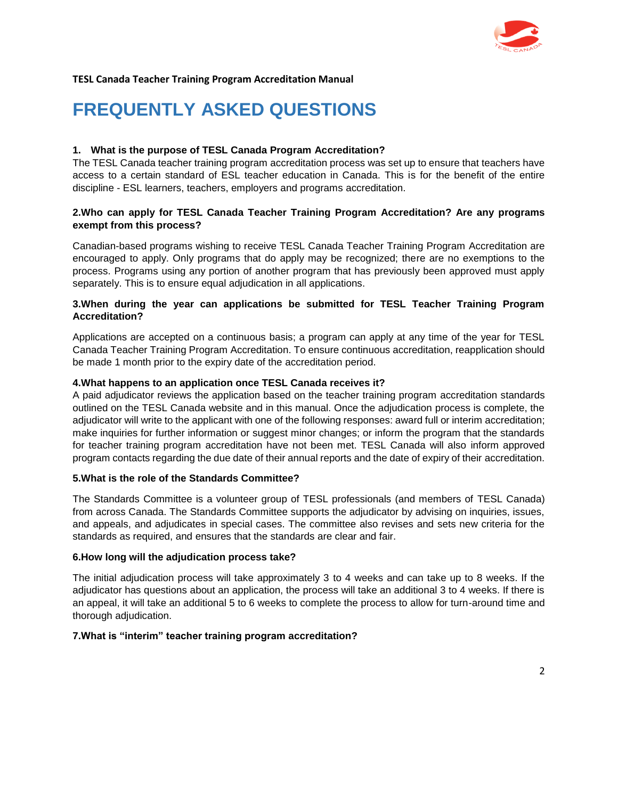

## **FREQUENTLY ASKED QUESTIONS**

### **1. What is the purpose of TESL Canada Program Accreditation?**

The TESL Canada teacher training program accreditation process was set up to ensure that teachers have access to a certain standard of ESL teacher education in Canada. This is for the benefit of the entire discipline - ESL learners, teachers, employers and programs accreditation.

### **2.Who can apply for TESL Canada Teacher Training Program Accreditation? Are any programs exempt from this process?**

Canadian-based programs wishing to receive TESL Canada Teacher Training Program Accreditation are encouraged to apply. Only programs that do apply may be recognized; there are no exemptions to the process. Programs using any portion of another program that has previously been approved must apply separately. This is to ensure equal adjudication in all applications.

### **3.When during the year can applications be submitted for TESL Teacher Training Program Accreditation?**

Applications are accepted on a continuous basis; a program can apply at any time of the year for TESL Canada Teacher Training Program Accreditation. To ensure continuous accreditation, reapplication should be made 1 month prior to the expiry date of the accreditation period.

### **4.What happens to an application once TESL Canada receives it?**

A paid adjudicator reviews the application based on the teacher training program accreditation standards outlined on the TESL Canada website and in this manual. Once the adjudication process is complete, the adjudicator will write to the applicant with one of the following responses: award full or interim accreditation; make inquiries for further information or suggest minor changes; or inform the program that the standards for teacher training program accreditation have not been met. TESL Canada will also inform approved program contacts regarding the due date of their annual reports and the date of expiry of their accreditation.

### **5.What is the role of the Standards Committee?**

The Standards Committee is a volunteer group of TESL professionals (and members of TESL Canada) from across Canada. The Standards Committee supports the adjudicator by advising on inquiries, issues, and appeals, and adjudicates in special cases. The committee also revises and sets new criteria for the standards as required, and ensures that the standards are clear and fair.

### **6.How long will the adjudication process take?**

The initial adjudication process will take approximately 3 to 4 weeks and can take up to 8 weeks. If the adjudicator has questions about an application, the process will take an additional 3 to 4 weeks. If there is an appeal, it will take an additional 5 to 6 weeks to complete the process to allow for turn-around time and thorough adjudication.

### **7.What is "interim" teacher training program accreditation?**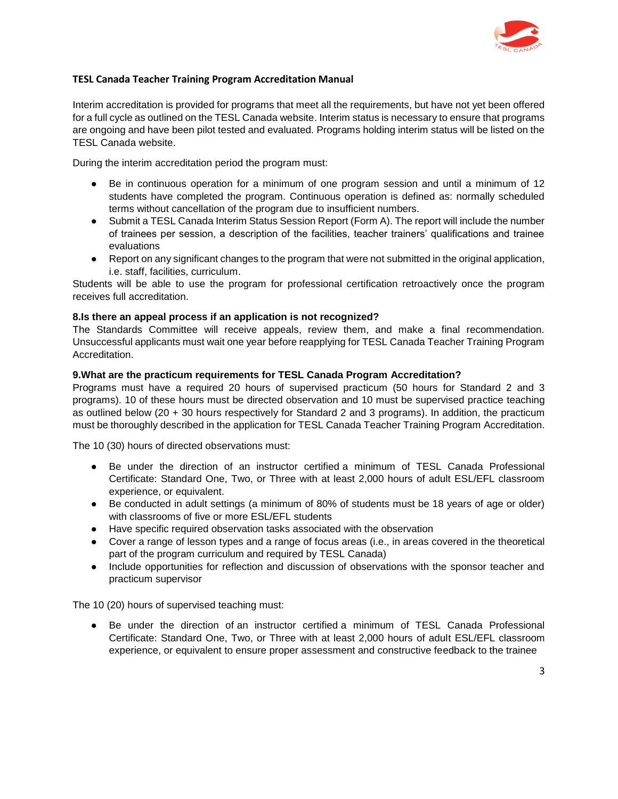

Interim accreditation is provided for programs that meet all the requirements, but have not yet been offered for a full cycle as outlined on the TESL Canada website. Interim status is necessary to ensure that programs are ongoing and have been pilot tested and evaluated. Programs holding interim status will be listed on the TESL Canada website.

During the interim accreditation period the program must:

- Be in continuous operation for a minimum of one program session and until a minimum of 12 students have completed the program. Continuous operation is defined as: normally scheduled terms without cancellation of the program due to insufficient numbers.
- Submit a TESL Canada Interim Status Session Report (Form A). The report will include the number of trainees per session, a description of the facilities, teacher trainers' qualifications and trainee evaluations
- Report on any significant changes to the program that were not submitted in the original application, i.e. staff, facilities, curriculum.

Students will be able to use the program for professional certification retroactively once the program receives full accreditation.

### **8.Is there an appeal process if an application is not recognized?**

The Standards Committee will receive appeals, review them, and make a final recommendation. Unsuccessful applicants must wait one year before reapplying for TESL Canada Teacher Training Program Accreditation.

#### **9.What are the practicum requirements for TESL Canada Program Accreditation?**

Programs must have a required 20 hours of supervised practicum (50 hours for Standard 2 and 3 programs). 10 of these hours must be directed observation and 10 must be supervised practice teaching as outlined below (20 + 30 hours respectively for Standard 2 and 3 programs). In addition, the practicum must be thoroughly described in the application for TESL Canada Teacher Training Program Accreditation.

The 10 (30) hours of directed observations must:

- Be under the direction of an instructor certified a minimum of TESL Canada Professional Certificate: Standard One, Two, or Three with at least 2,000 hours of adult ESL/EFL classroom experience, or equivalent.
- Be conducted in adult settings (a minimum of 80% of students must be 18 years of age or older) with classrooms of five or more ESL/EFL students
- Have specific required observation tasks associated with the observation
- Cover a range of lesson types and a range of focus areas (i.e., in areas covered in the theoretical part of the program curriculum and required by TESL Canada)
- Include opportunities for reflection and discussion of observations with the sponsor teacher and practicum supervisor

The 10 (20) hours of supervised teaching must:

● Be under the direction of an instructor certified a minimum of TESL Canada Professional Certificate: Standard One, Two, or Three with at least 2,000 hours of adult ESL/EFL classroom experience, or equivalent to ensure proper assessment and constructive feedback to the trainee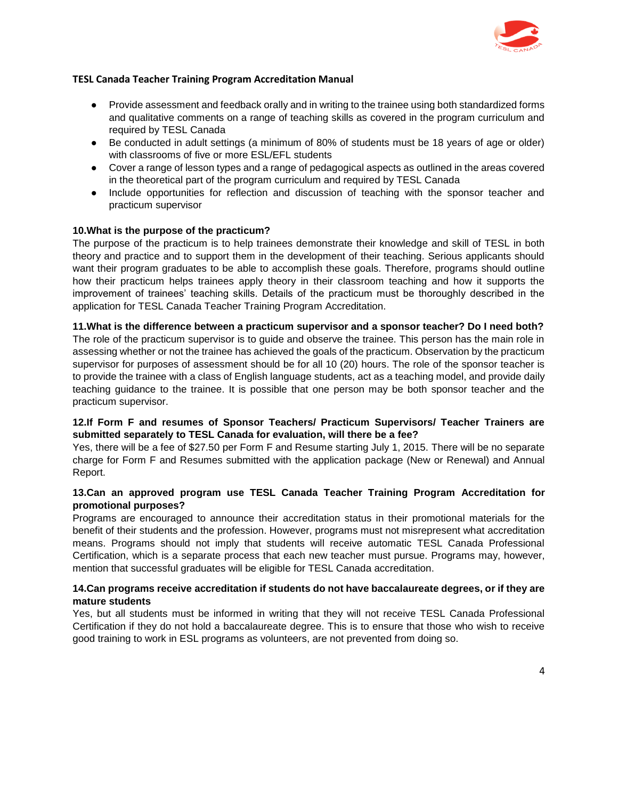

- Provide assessment and feedback orally and in writing to the trainee using both standardized forms and qualitative comments on a range of teaching skills as covered in the program curriculum and required by TESL Canada
- Be conducted in adult settings (a minimum of 80% of students must be 18 years of age or older) with classrooms of five or more ESL/EFL students
- Cover a range of lesson types and a range of pedagogical aspects as outlined in the areas covered in the theoretical part of the program curriculum and required by TESL Canada
- Include opportunities for reflection and discussion of teaching with the sponsor teacher and practicum supervisor

### **10.What is the purpose of the practicum?**

The purpose of the practicum is to help trainees demonstrate their knowledge and skill of TESL in both theory and practice and to support them in the development of their teaching. Serious applicants should want their program graduates to be able to accomplish these goals. Therefore, programs should outline how their practicum helps trainees apply theory in their classroom teaching and how it supports the improvement of trainees' teaching skills. Details of the practicum must be thoroughly described in the application for TESL Canada Teacher Training Program Accreditation.

### **11.What is the difference between a practicum supervisor and a sponsor teacher? Do I need both?**

The role of the practicum supervisor is to guide and observe the trainee. This person has the main role in assessing whether or not the trainee has achieved the goals of the practicum. Observation by the practicum supervisor for purposes of assessment should be for all 10 (20) hours. The role of the sponsor teacher is to provide the trainee with a class of English language students, act as a teaching model, and provide daily teaching guidance to the trainee. It is possible that one person may be both sponsor teacher and the practicum supervisor.

### **12.If Form F and resumes of Sponsor Teachers/ Practicum Supervisors/ Teacher Trainers are submitted separately to TESL Canada for evaluation, will there be a fee?**

Yes, there will be a fee of \$27.50 per Form F and Resume starting July 1, 2015. There will be no separate charge for Form F and Resumes submitted with the application package (New or Renewal) and Annual Report.

### **13.Can an approved program use TESL Canada Teacher Training Program Accreditation for promotional purposes?**

Programs are encouraged to announce their accreditation status in their promotional materials for the benefit of their students and the profession. However, programs must not misrepresent what accreditation means. Programs should not imply that students will receive automatic TESL Canada Professional Certification, which is a separate process that each new teacher must pursue. Programs may, however, mention that successful graduates will be eligible for TESL Canada accreditation.

### **14.Can programs receive accreditation if students do not have baccalaureate degrees, or if they are mature students**

Yes, but all students must be informed in writing that they will not receive TESL Canada Professional Certification if they do not hold a baccalaureate degree. This is to ensure that those who wish to receive good training to work in ESL programs as volunteers, are not prevented from doing so.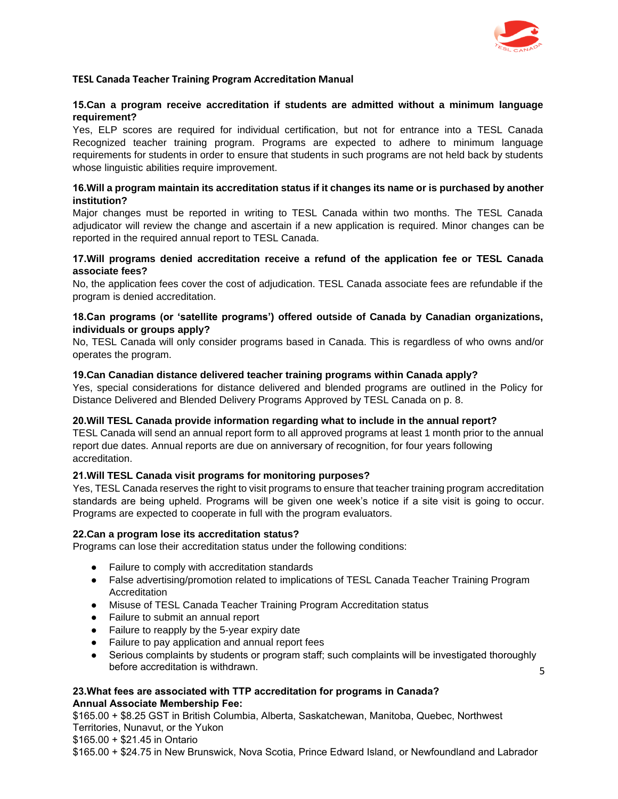

### **15.Can a program receive accreditation if students are admitted without a minimum language requirement?**

Yes, ELP scores are required for individual certification, but not for entrance into a TESL Canada Recognized teacher training program. Programs are expected to adhere to minimum language requirements for students in order to ensure that students in such programs are not held back by students whose linguistic abilities require improvement.

### **16.Will a program maintain its accreditation status if it changes its name or is purchased by another institution?**

Major changes must be reported in writing to TESL Canada within two months. The TESL Canada adjudicator will review the change and ascertain if a new application is required. Minor changes can be reported in the required annual report to TESL Canada.

### **17.Will programs denied accreditation receive a refund of the application fee or TESL Canada associate fees?**

No, the application fees cover the cost of adjudication. TESL Canada associate fees are refundable if the program is denied accreditation.

### **18.Can programs (or 'satellite programs') offered outside of Canada by Canadian organizations, individuals or groups apply?**

No, TESL Canada will only consider programs based in Canada. This is regardless of who owns and/or operates the program.

### **19.Can Canadian distance delivered teacher training programs within Canada apply?**

Yes, special considerations for distance delivered and blended programs are outlined in the Policy for Distance Delivered and Blended Delivery Programs Approved by TESL Canada on p. 8.

### **20.Will TESL Canada provide information regarding what to include in the annual report?**

TESL Canada will send an annual report form to all approved programs at least 1 month prior to the annual report due dates. Annual reports are due on anniversary of recognition, for four years following accreditation.

### **21.Will TESL Canada visit programs for monitoring purposes?**

Yes, TESL Canada reserves the right to visit programs to ensure that teacher training program accreditation standards are being upheld. Programs will be given one week's notice if a site visit is going to occur. Programs are expected to cooperate in full with the program evaluators.

### **22.Can a program lose its accreditation status?**

Programs can lose their accreditation status under the following conditions:

- Failure to comply with accreditation standards
- False advertising/promotion related to implications of TESL Canada Teacher Training Program Accreditation
- Misuse of TESL Canada Teacher Training Program Accreditation status
- Failure to submit an annual report
- Failure to reapply by the 5-year expiry date
- Failure to pay application and annual report fees
- 5 • Serious complaints by students or program staff; such complaints will be investigated thoroughly before accreditation is withdrawn.

### **23.What fees are associated with TTP accreditation for programs in Canada? Annual Associate Membership Fee:**

\$165.00 + \$8.25 GST in British Columbia, Alberta, Saskatchewan, Manitoba, Quebec, Northwest Territories, Nunavut, or the Yukon

\$165.00 + \$21.45 in Ontario

\$165.00 + \$24.75 in New Brunswick, Nova Scotia, Prince Edward Island, or Newfoundland and Labrador